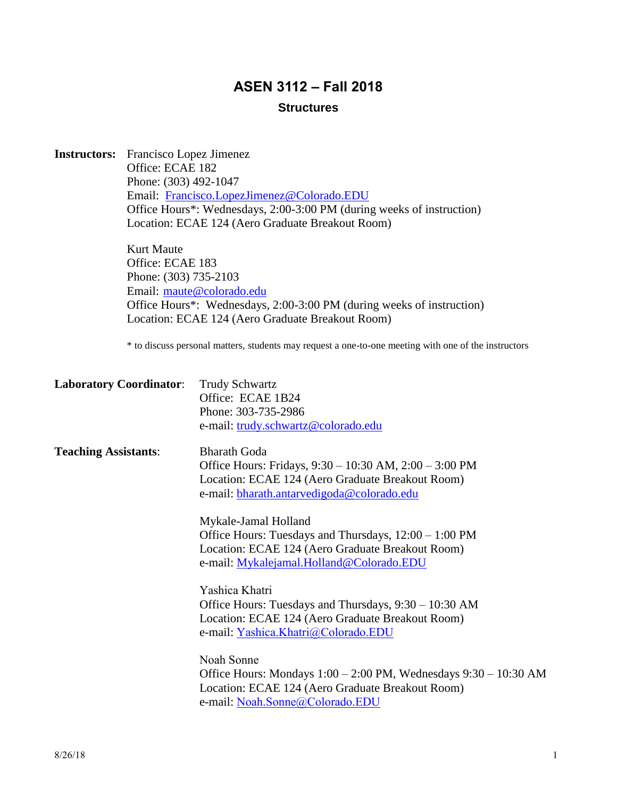# **ASEN 3112 – Fall 2018**

# **Structures**

| <b>Instructors:</b>         | Francisco Lopez Jimenez        |                                                                                                                           |  |  |  |  |
|-----------------------------|--------------------------------|---------------------------------------------------------------------------------------------------------------------------|--|--|--|--|
|                             | Office: ECAE 182               |                                                                                                                           |  |  |  |  |
|                             | Phone: (303) 492-1047          |                                                                                                                           |  |  |  |  |
|                             |                                | Email: Francisco.LopezJimenez@Colorado.EDU                                                                                |  |  |  |  |
|                             |                                | Office Hours*: Wednesdays, 2:00-3:00 PM (during weeks of instruction)                                                     |  |  |  |  |
|                             |                                | Location: ECAE 124 (Aero Graduate Breakout Room)                                                                          |  |  |  |  |
|                             | Kurt Maute                     |                                                                                                                           |  |  |  |  |
|                             | Office: ECAE 183               |                                                                                                                           |  |  |  |  |
|                             | Phone: (303) 735-2103          | Email: maute@colorado.edu                                                                                                 |  |  |  |  |
|                             |                                |                                                                                                                           |  |  |  |  |
|                             |                                | Office Hours*: Wednesdays, 2:00-3:00 PM (during weeks of instruction)<br>Location: ECAE 124 (Aero Graduate Breakout Room) |  |  |  |  |
|                             |                                | * to discuss personal matters, students may request a one-to-one meeting with one of the instructors                      |  |  |  |  |
|                             | <b>Laboratory Coordinator:</b> | <b>Trudy Schwartz</b>                                                                                                     |  |  |  |  |
|                             |                                | Office: ECAE 1B24                                                                                                         |  |  |  |  |
|                             |                                | Phone: 303-735-2986                                                                                                       |  |  |  |  |
|                             |                                | e-mail: trudy.schwartz@colorado.edu                                                                                       |  |  |  |  |
| <b>Teaching Assistants:</b> |                                | <b>Bharath Goda</b>                                                                                                       |  |  |  |  |
|                             |                                | Office Hours: Fridays, 9:30 - 10:30 AM, 2:00 - 3:00 PM                                                                    |  |  |  |  |
|                             |                                | Location: ECAE 124 (Aero Graduate Breakout Room)                                                                          |  |  |  |  |
|                             |                                | e-mail: bharath.antarvedigoda@colorado.edu                                                                                |  |  |  |  |
|                             |                                | Mykale-Jamal Holland                                                                                                      |  |  |  |  |
|                             |                                | Office Hours: Tuesdays and Thursdays, $12:00 - 1:00 \text{ PM}$                                                           |  |  |  |  |
|                             |                                | Location: ECAE 124 (Aero Graduate Breakout Room)                                                                          |  |  |  |  |
|                             |                                | e-mail: Mykalejamal.Holland@Colorado.EDU                                                                                  |  |  |  |  |
|                             |                                | Yashica Khatri                                                                                                            |  |  |  |  |
|                             |                                | Office Hours: Tuesdays and Thursdays, 9:30 – 10:30 AM                                                                     |  |  |  |  |
|                             |                                | Location: ECAE 124 (Aero Graduate Breakout Room)                                                                          |  |  |  |  |
|                             |                                | e-mail: Yashica.Khatri@Colorado.EDU                                                                                       |  |  |  |  |
|                             |                                | Noah Sonne                                                                                                                |  |  |  |  |
|                             |                                | Office Hours: Mondays $1:00 - 2:00$ PM, Wednesdays $9:30 - 10:30$ AM                                                      |  |  |  |  |
|                             |                                | Location: ECAE 124 (Aero Graduate Breakout Room)                                                                          |  |  |  |  |
|                             |                                | e-mail: Noah.Sonne@Colorado.EDU                                                                                           |  |  |  |  |
|                             |                                |                                                                                                                           |  |  |  |  |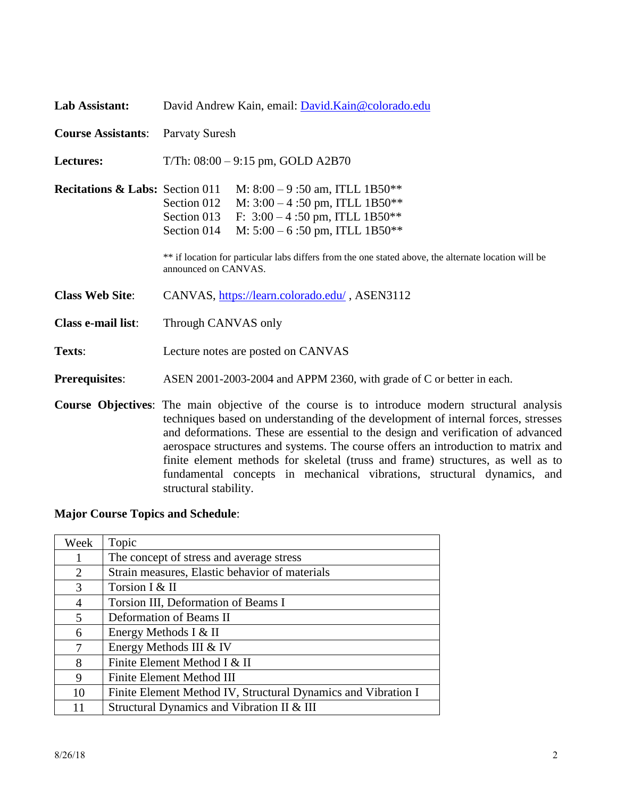| Lab Assistant:                             | David Andrew Kain, email: David.Kain@colorado.edu                                                                                                                                                                                                                                                                                                                                                                                                                                                                                                          |  |  |  |
|--------------------------------------------|------------------------------------------------------------------------------------------------------------------------------------------------------------------------------------------------------------------------------------------------------------------------------------------------------------------------------------------------------------------------------------------------------------------------------------------------------------------------------------------------------------------------------------------------------------|--|--|--|
| <b>Course Assistants:</b>                  | Parvaty Suresh                                                                                                                                                                                                                                                                                                                                                                                                                                                                                                                                             |  |  |  |
| <b>Lectures:</b>                           | T/Th: $08:00 - 9:15$ pm, GOLD A2B70                                                                                                                                                                                                                                                                                                                                                                                                                                                                                                                        |  |  |  |
| <b>Recitations &amp; Labs:</b> Section 011 | M: $8:00 - 9:50$ am, ITLL 1B50**<br>M: $3:00 - 4:50$ pm, ITLL 1B50 <sup>**</sup><br>Section 012<br>F: $3:00 - 4:50$ pm, ITLL 1B50**<br>Section 013<br>M: $5:00 - 6:50$ pm, ITLL 1B50**<br>Section 014<br>** if location for particular labs differs from the one stated above, the alternate location will be<br>announced on CANVAS.                                                                                                                                                                                                                      |  |  |  |
| <b>Class Web Site:</b>                     | CANVAS, https://learn.colorado.edu/, ASEN3112                                                                                                                                                                                                                                                                                                                                                                                                                                                                                                              |  |  |  |
| Class e-mail list:                         | Through CANVAS only                                                                                                                                                                                                                                                                                                                                                                                                                                                                                                                                        |  |  |  |
| Texts:                                     | Lecture notes are posted on CANVAS                                                                                                                                                                                                                                                                                                                                                                                                                                                                                                                         |  |  |  |
| <b>Prerequisites:</b>                      | ASEN 2001-2003-2004 and APPM 2360, with grade of C or better in each.                                                                                                                                                                                                                                                                                                                                                                                                                                                                                      |  |  |  |
|                                            | <b>Course Objectives:</b> The main objective of the course is to introduce modern structural analysis<br>techniques based on understanding of the development of internal forces, stresses<br>and deformations. These are essential to the design and verification of advanced<br>aerospace structures and systems. The course offers an introduction to matrix and<br>finite element methods for skeletal (truss and frame) structures, as well as to<br>fundamental concepts in mechanical vibrations, structural dynamics, and<br>structural stability. |  |  |  |

# **Major Course Topics and Schedule**:

| Week           | Topic                                                         |
|----------------|---------------------------------------------------------------|
|                | The concept of stress and average stress                      |
| 2              | Strain measures, Elastic behavior of materials                |
| 3              | Torsion I & II                                                |
| $\overline{4}$ | Torsion III, Deformation of Beams I                           |
| 5              | Deformation of Beams II                                       |
| 6              | Energy Methods I & II                                         |
| 7              | Energy Methods III & IV                                       |
| 8              | Finite Element Method I & II                                  |
| 9              | Finite Element Method III                                     |
| 10             | Finite Element Method IV, Structural Dynamics and Vibration I |
| 11             | Structural Dynamics and Vibration II & III                    |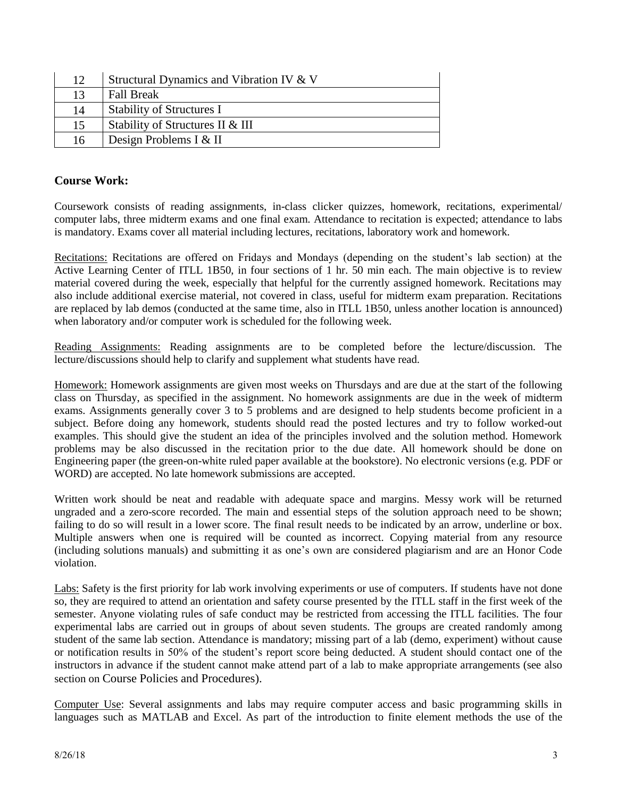| 12 | Structural Dynamics and Vibration IV & V |
|----|------------------------------------------|
| 13 | <b>Fall Break</b>                        |
| 14 | <b>Stability of Structures I</b>         |
| 15 | Stability of Structures II & III         |
| 16 | Design Problems I & II                   |

#### **Course Work:**

Coursework consists of reading assignments, in-class clicker quizzes, homework, recitations, experimental/ computer labs, three midterm exams and one final exam. Attendance to recitation is expected; attendance to labs is mandatory. Exams cover all material including lectures, recitations, laboratory work and homework.

Recitations: Recitations are offered on Fridays and Mondays (depending on the student's lab section) at the Active Learning Center of ITLL 1B50, in four sections of 1 hr. 50 min each. The main objective is to review material covered during the week, especially that helpful for the currently assigned homework. Recitations may also include additional exercise material, not covered in class, useful for midterm exam preparation. Recitations are replaced by lab demos (conducted at the same time, also in ITLL 1B50, unless another location is announced) when laboratory and/or computer work is scheduled for the following week.

Reading Assignments: Reading assignments are to be completed before the lecture/discussion. The lecture/discussions should help to clarify and supplement what students have read.

Homework: Homework assignments are given most weeks on Thursdays and are due at the start of the following class on Thursday, as specified in the assignment. No homework assignments are due in the week of midterm exams. Assignments generally cover 3 to 5 problems and are designed to help students become proficient in a subject. Before doing any homework, students should read the posted lectures and try to follow worked-out examples. This should give the student an idea of the principles involved and the solution method. Homework problems may be also discussed in the recitation prior to the due date. All homework should be done on Engineering paper (the green-on-white ruled paper available at the bookstore). No electronic versions (e.g. PDF or WORD) are accepted. No late homework submissions are accepted.

Written work should be neat and readable with adequate space and margins. Messy work will be returned ungraded and a zero-score recorded. The main and essential steps of the solution approach need to be shown; failing to do so will result in a lower score. The final result needs to be indicated by an arrow, underline or box. Multiple answers when one is required will be counted as incorrect. Copying material from any resource (including solutions manuals) and submitting it as one's own are considered plagiarism and are an Honor Code violation.

Labs: Safety is the first priority for lab work involving experiments or use of computers. If students have not done so, they are required to attend an orientation and safety course presented by the ITLL staff in the first week of the semester. Anyone violating rules of safe conduct may be restricted from accessing the ITLL facilities. The four experimental labs are carried out in groups of about seven students. The groups are created randomly among student of the same lab section. Attendance is mandatory; missing part of a lab (demo, experiment) without cause or notification results in 50% of the student's report score being deducted. A student should contact one of the instructors in advance if the student cannot make attend part of a lab to make appropriate arrangements (see also section on Course Policies and Procedures).

Computer Use: Several assignments and labs may require computer access and basic programming skills in languages such as MATLAB and Excel. As part of the introduction to finite element methods the use of the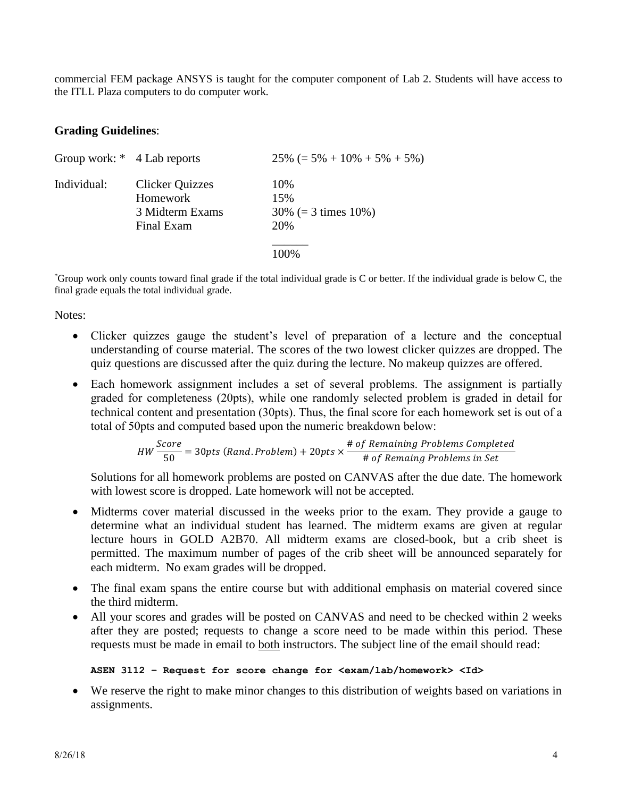commercial FEM package ANSYS is taught for the computer component of Lab 2. Students will have access to the ITLL Plaza computers to do computer work.

#### **Grading Guidelines**:

| Group work: * 4 Lab reports |                                                                     | $25\% (= 5\% + 10\% + 5\% + 5\%)$              |
|-----------------------------|---------------------------------------------------------------------|------------------------------------------------|
| Individual:                 | <b>Clicker Quizzes</b><br>Homework<br>3 Midterm Exams<br>Final Exam | 10%<br>15%<br>$30\% (= 3 \times 10\%)$<br>20\% |
|                             |                                                                     | 100%                                           |

\*Group work only counts toward final grade if the total individual grade is C or better. If the individual grade is below C, the final grade equals the total individual grade.

Notes:

- Clicker quizzes gauge the student's level of preparation of a lecture and the conceptual understanding of course material. The scores of the two lowest clicker quizzes are dropped. The quiz questions are discussed after the quiz during the lecture. No makeup quizzes are offered.
- Each homework assignment includes a set of several problems. The assignment is partially graded for completeness (20pts), while one randomly selected problem is graded in detail for technical content and presentation (30pts). Thus, the final score for each homework set is out of a total of 50pts and computed based upon the numeric breakdown below:

*HW* 
$$
\frac{Score}{50}
$$
 = 30*pts* (*Rand*.*Problem*) + 20*pts* ×  $\frac{\text{# of Remaining Problems completed}}{\text{# of Remain Problems in Set}}$ 

Solutions for all homework problems are posted on CANVAS after the due date. The homework with lowest score is dropped. Late homework will not be accepted.

- Midterms cover material discussed in the weeks prior to the exam. They provide a gauge to determine what an individual student has learned. The midterm exams are given at regular lecture hours in GOLD A2B70. All midterm exams are closed-book, but a crib sheet is permitted. The maximum number of pages of the crib sheet will be announced separately for each midterm. No exam grades will be dropped.
- The final exam spans the entire course but with additional emphasis on material covered since the third midterm.
- All your scores and grades will be posted on CANVAS and need to be checked within 2 weeks after they are posted; requests to change a score need to be made within this period. These requests must be made in email to both instructors. The subject line of the email should read:

#### **ASEN 3112 – Request for score change for <exam/lab/homework> <Id>**

• We reserve the right to make minor changes to this distribution of weights based on variations in assignments.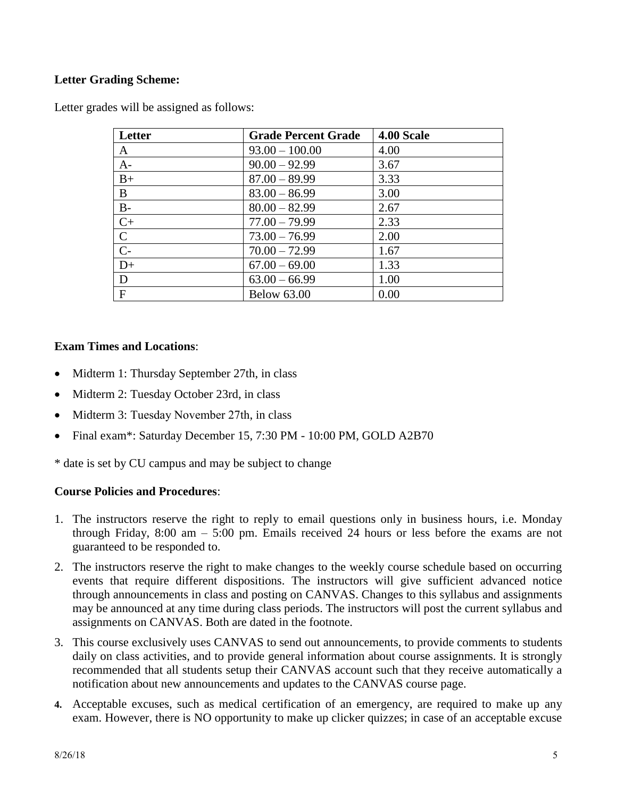## **Letter Grading Scheme:**

|  |  |  |  | Letter grades will be assigned as follows: |  |  |
|--|--|--|--|--------------------------------------------|--|--|
|--|--|--|--|--------------------------------------------|--|--|

| Letter         | <b>Grade Percent Grade</b> | 4.00 Scale |
|----------------|----------------------------|------------|
| A              | $93.00 - 100.00$           | 4.00       |
| $A-$           | $90.00 - 92.99$            | 3.67       |
| $B+$           | $87.00 - 89.99$            | 3.33       |
| B              | $83.00 - 86.99$            | 3.00       |
| $B-$           | $80.00 - 82.99$            | 2.67       |
| $C+$           | $77.00 - 79.99$            | 2.33       |
| $\mathsf{C}$   | $73.00 - 76.99$            | 2.00       |
| $\overline{C}$ | $70.00 - 72.99$            | 1.67       |
| $D+$           | $67.00 - 69.00$            | 1.33       |
| D              | $63.00 - 66.99$            | 1.00       |
| $\mathbf{F}$   | <b>Below 63.00</b>         | 0.00       |

## **Exam Times and Locations**:

- Midterm 1: Thursday September 27th, in class
- Midterm 2: Tuesday October 23rd, in class
- Midterm 3: Tuesday November 27th, in class
- Final exam\*: Saturday December 15, 7:30 PM 10:00 PM, GOLD A2B70

\* date is set by CU campus and may be subject to change

## **Course Policies and Procedures**:

- 1. The instructors reserve the right to reply to email questions only in business hours, i.e. Monday through Friday, 8:00 am – 5:00 pm. Emails received 24 hours or less before the exams are not guaranteed to be responded to.
- 2. The instructors reserve the right to make changes to the weekly course schedule based on occurring events that require different dispositions. The instructors will give sufficient advanced notice through announcements in class and posting on CANVAS. Changes to this syllabus and assignments may be announced at any time during class periods. The instructors will post the current syllabus and assignments on CANVAS. Both are dated in the footnote.
- 3. This course exclusively uses CANVAS to send out announcements, to provide comments to students daily on class activities, and to provide general information about course assignments. It is strongly recommended that all students setup their CANVAS account such that they receive automatically a notification about new announcements and updates to the CANVAS course page.
- **4.** Acceptable excuses, such as medical certification of an emergency, are required to make up any exam. However, there is NO opportunity to make up clicker quizzes; in case of an acceptable excuse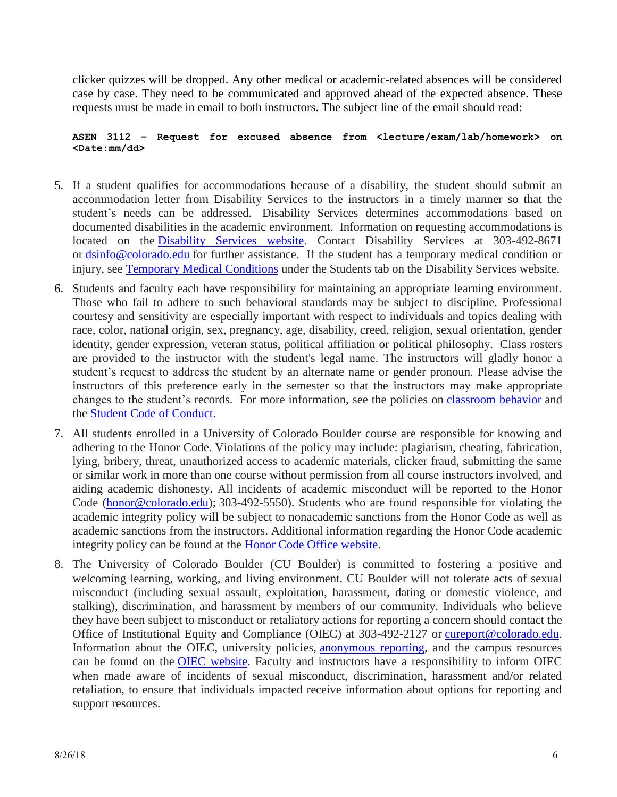clicker quizzes will be dropped. Any other medical or academic-related absences will be considered case by case. They need to be communicated and approved ahead of the expected absence. These requests must be made in email to both instructors. The subject line of the email should read:

#### **ASEN 3112 – Request for excused absence from <lecture/exam/lab/homework> on <Date:mm/dd>**

- 5. If a student qualifies for accommodations because of a disability, the student should submit an accommodation letter from Disability Services to the instructors in a timely manner so that the student's needs can be addressed. Disability Services determines accommodations based on documented disabilities in the academic environment. Information on requesting accommodations is located on the [Disability Services website.](http://www.colorado.edu/disabilityservices/students) Contact Disability Services at 303-492-8671 or [dsinfo@colorado.edu](mailto:dsinfo@colorado.edu) for further assistance. If the student has a temporary medical condition or injury, see [Temporary Medical Conditions](http://www.colorado.edu/disabilityservices/students/temporary-medical-conditions) under the Students tab on the Disability Services website.
- 6. Students and faculty each have responsibility for maintaining an appropriate learning environment. Those who fail to adhere to such behavioral standards may be subject to discipline. Professional courtesy and sensitivity are especially important with respect to individuals and topics dealing with race, color, national origin, sex, pregnancy, age, disability, creed, religion, sexual orientation, gender identity, gender expression, veteran status, political affiliation or political philosophy. Class rosters are provided to the instructor with the student's legal name. The instructors will gladly honor a student's request to address the student by an alternate name or gender pronoun. Please advise the instructors of this preference early in the semester so that the instructors may make appropriate changes to the student's records. For more information, see the policies on [classroom behavior](http://www.colorado.edu/policies/student-classroom-and-course-related-behavior) and the [Student Code of Conduct.](http://www.colorado.edu/osccr/)
- 7. All students enrolled in a University of Colorado Boulder course are responsible for knowing and adhering to the Honor Code. Violations of the policy may include: plagiarism, cheating, fabrication, lying, bribery, threat, unauthorized access to academic materials, clicker fraud, submitting the same or similar work in more than one course without permission from all course instructors involved, and aiding academic dishonesty. All incidents of academic misconduct will be reported to the Honor Code [\(honor@colorado.edu\)](mailto:honor@colorado.edu); 303-492-5550). Students who are found responsible for violating the academic integrity policy will be subject to nonacademic sanctions from the Honor Code as well as academic sanctions from the instructors. Additional information regarding the Honor Code academic integrity policy can be found at the [Honor Code Office website.](https://www.colorado.edu/osccr/honor-code)
- 8. The University of Colorado Boulder (CU Boulder) is committed to fostering a positive and welcoming learning, working, and living environment. CU Boulder will not tolerate acts of sexual misconduct (including sexual assault, exploitation, harassment, dating or domestic violence, and stalking), discrimination, and harassment by members of our community. Individuals who believe they have been subject to misconduct or retaliatory actions for reporting a concern should contact the Office of Institutional Equity and Compliance (OIEC) at 303-492-2127 or [cureport@colorado.edu.](mailto:cureport@colorado.edu) Information about the OIEC, university policies, [anonymous reporting,](https://cuboulder.qualtrics.com/jfe/form/SV_0PnqVK4kkIJIZnf) and the campus resources can be found on the [OIEC website.](http://www.colorado.edu/institutionalequity/) Faculty and instructors have a responsibility to inform OIEC when made aware of incidents of sexual misconduct, discrimination, harassment and/or related retaliation, to ensure that individuals impacted receive information about options for reporting and support resources.